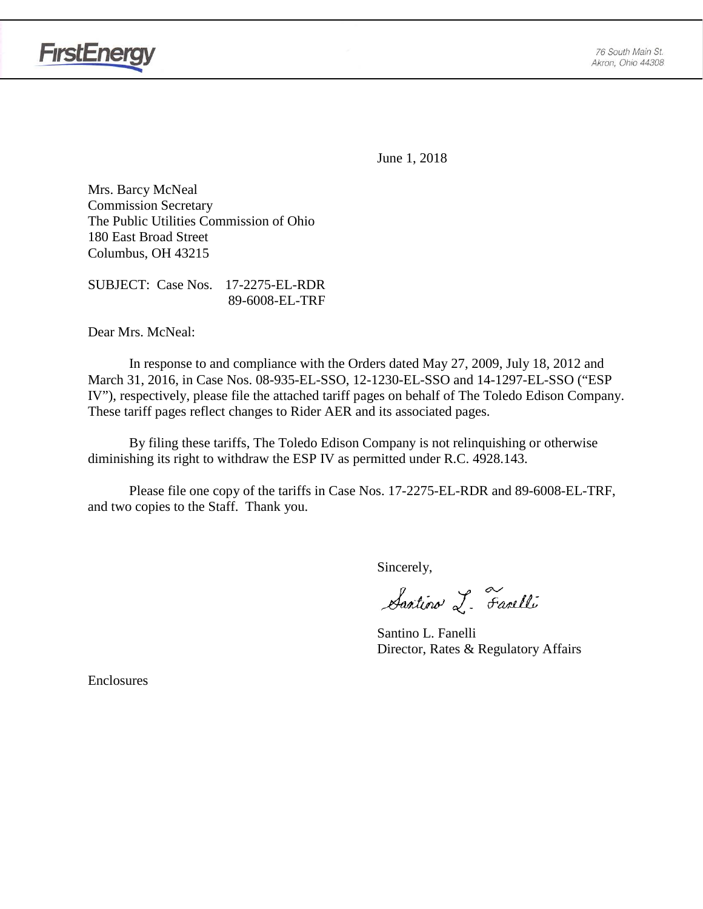

June 1, 2018

Mrs. Barcy McNeal Commission Secretary The Public Utilities Commission of Ohio 180 East Broad Street Columbus, OH 43215

SUBJECT: Case Nos. 17-2275-EL-RDR 89-6008-EL-TRF

Dear Mrs. McNeal:

In response to and compliance with the Orders dated May 27, 2009, July 18, 2012 and March 31, 2016, in Case Nos. 08-935-EL-SSO, 12-1230-EL-SSO and 14-1297-EL-SSO ("ESP IV"), respectively, please file the attached tariff pages on behalf of The Toledo Edison Company. These tariff pages reflect changes to Rider AER and its associated pages.

By filing these tariffs, The Toledo Edison Company is not relinquishing or otherwise diminishing its right to withdraw the ESP IV as permitted under R.C. 4928.143.

Please file one copy of the tariffs in Case Nos. 17-2275-EL-RDR and 89-6008-EL-TRF, and two copies to the Staff. Thank you.

Sincerely,

Santino L. Farelli

Santino L. Fanelli Director, Rates & Regulatory Affairs

Enclosures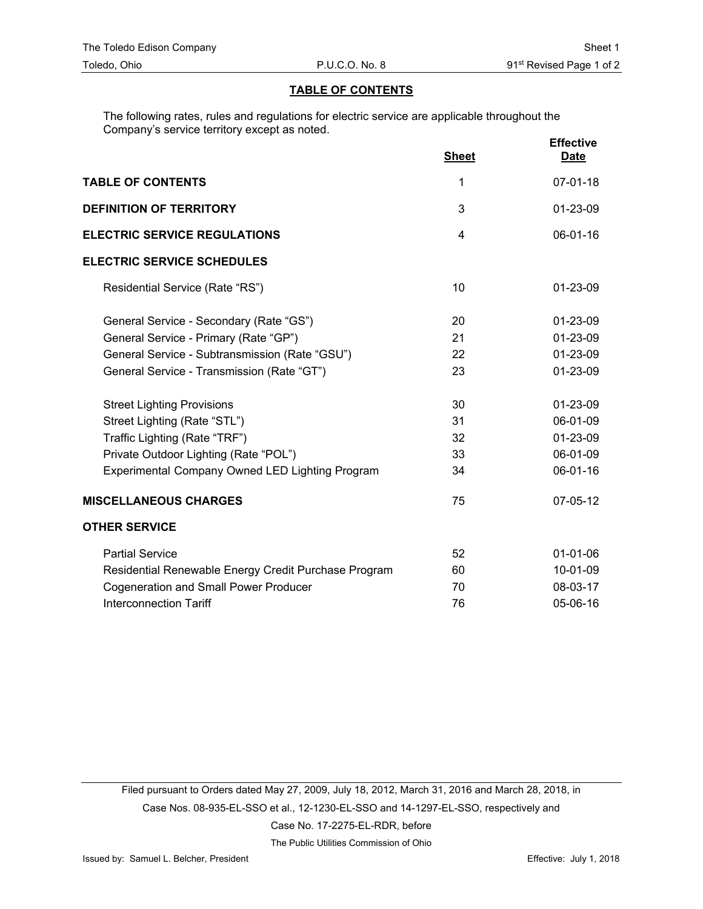### **TABLE OF CONTENTS**

The following rates, rules and regulations for electric service are applicable throughout the Company's service territory except as noted.

|                                                        | <b>Sheet</b> | <b>Effective</b><br><b>Date</b> |
|--------------------------------------------------------|--------------|---------------------------------|
| <b>TABLE OF CONTENTS</b>                               | 1            | $07 - 01 - 18$                  |
| <b>DEFINITION OF TERRITORY</b>                         | 3            | 01-23-09                        |
| <b>ELECTRIC SERVICE REGULATIONS</b>                    | 4            | $06 - 01 - 16$                  |
| <b>ELECTRIC SERVICE SCHEDULES</b>                      |              |                                 |
| Residential Service (Rate "RS")                        | 10           | 01-23-09                        |
| General Service - Secondary (Rate "GS")                | 20           | 01-23-09                        |
| General Service - Primary (Rate "GP")                  | 21           | 01-23-09                        |
| General Service - Subtransmission (Rate "GSU")         | 22           | 01-23-09                        |
| General Service - Transmission (Rate "GT")             | 23           | 01-23-09                        |
| <b>Street Lighting Provisions</b>                      | 30           | 01-23-09                        |
| Street Lighting (Rate "STL")                           | 31           | 06-01-09                        |
| Traffic Lighting (Rate "TRF")                          | 32           | 01-23-09                        |
| Private Outdoor Lighting (Rate "POL")                  | 33           | 06-01-09                        |
| <b>Experimental Company Owned LED Lighting Program</b> | 34           | 06-01-16                        |
| <b>MISCELLANEOUS CHARGES</b>                           | 75           | 07-05-12                        |
| <b>OTHER SERVICE</b>                                   |              |                                 |
| <b>Partial Service</b>                                 | 52           | $01 - 01 - 06$                  |
| Residential Renewable Energy Credit Purchase Program   | 60           | 10-01-09                        |
| <b>Cogeneration and Small Power Producer</b>           | 70           | 08-03-17                        |
| <b>Interconnection Tariff</b>                          | 76           | 05-06-16                        |

Filed pursuant to Orders dated May 27, 2009, July 18, 2012, March 31, 2016 and March 28, 2018, in Case Nos. 08-935-EL-SSO et al., 12-1230-EL-SSO and 14-1297-EL-SSO, respectively and Case No. 17-2275-EL-RDR, before

The Public Utilities Commission of Ohio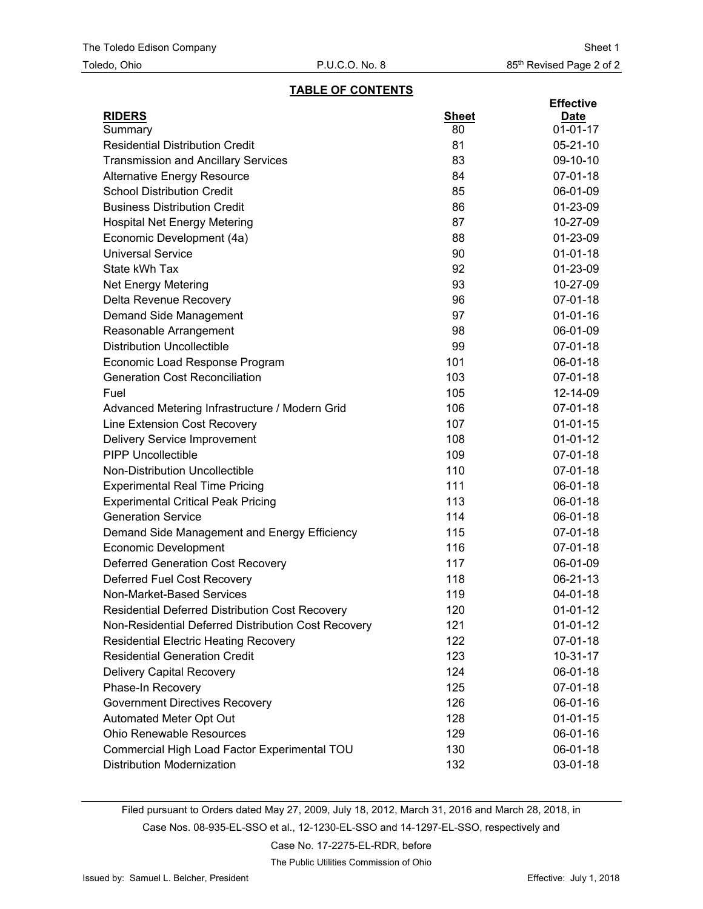### **TABLE OF CONTENTS**

| <b>RIDERS</b><br><b>Sheet</b><br><b>Date</b><br>$01 - 01 - 17$<br>80<br>Summary<br><b>Residential Distribution Credit</b><br>81<br>$05 - 21 - 10$<br><b>Transmission and Ancillary Services</b><br>83<br>09-10-10<br>84<br>07-01-18<br><b>Alternative Energy Resource</b><br><b>School Distribution Credit</b><br>85<br>06-01-09<br><b>Business Distribution Credit</b><br>86<br>01-23-09<br>87<br><b>Hospital Net Energy Metering</b><br>10-27-09<br>Economic Development (4a)<br>88<br>01-23-09<br><b>Universal Service</b><br>90<br>$01 - 01 - 18$<br>State kWh Tax<br>92<br>01-23-09<br>93<br>10-27-09<br><b>Net Energy Metering</b><br>96<br>07-01-18<br>Delta Revenue Recovery<br>97<br>$01 - 01 - 16$<br>Demand Side Management<br>98<br>06-01-09<br>Reasonable Arrangement<br><b>Distribution Uncollectible</b><br>99<br>07-01-18<br>101<br>Economic Load Response Program<br>06-01-18<br><b>Generation Cost Reconciliation</b><br>103<br>07-01-18<br>Fuel<br>105<br>12-14-09<br>106<br>$07 - 01 - 18$<br>Advanced Metering Infrastructure / Modern Grid<br>Line Extension Cost Recovery<br>107<br>$01 - 01 - 15$<br>Delivery Service Improvement<br>108<br>$01 - 01 - 12$<br><b>PIPP Uncollectible</b><br>109 |  | <b>Effective</b> |
|------------------------------------------------------------------------------------------------------------------------------------------------------------------------------------------------------------------------------------------------------------------------------------------------------------------------------------------------------------------------------------------------------------------------------------------------------------------------------------------------------------------------------------------------------------------------------------------------------------------------------------------------------------------------------------------------------------------------------------------------------------------------------------------------------------------------------------------------------------------------------------------------------------------------------------------------------------------------------------------------------------------------------------------------------------------------------------------------------------------------------------------------------------------------------------------------------------------------|--|------------------|
|                                                                                                                                                                                                                                                                                                                                                                                                                                                                                                                                                                                                                                                                                                                                                                                                                                                                                                                                                                                                                                                                                                                                                                                                                        |  |                  |
|                                                                                                                                                                                                                                                                                                                                                                                                                                                                                                                                                                                                                                                                                                                                                                                                                                                                                                                                                                                                                                                                                                                                                                                                                        |  |                  |
|                                                                                                                                                                                                                                                                                                                                                                                                                                                                                                                                                                                                                                                                                                                                                                                                                                                                                                                                                                                                                                                                                                                                                                                                                        |  |                  |
|                                                                                                                                                                                                                                                                                                                                                                                                                                                                                                                                                                                                                                                                                                                                                                                                                                                                                                                                                                                                                                                                                                                                                                                                                        |  |                  |
|                                                                                                                                                                                                                                                                                                                                                                                                                                                                                                                                                                                                                                                                                                                                                                                                                                                                                                                                                                                                                                                                                                                                                                                                                        |  |                  |
|                                                                                                                                                                                                                                                                                                                                                                                                                                                                                                                                                                                                                                                                                                                                                                                                                                                                                                                                                                                                                                                                                                                                                                                                                        |  |                  |
|                                                                                                                                                                                                                                                                                                                                                                                                                                                                                                                                                                                                                                                                                                                                                                                                                                                                                                                                                                                                                                                                                                                                                                                                                        |  |                  |
|                                                                                                                                                                                                                                                                                                                                                                                                                                                                                                                                                                                                                                                                                                                                                                                                                                                                                                                                                                                                                                                                                                                                                                                                                        |  |                  |
|                                                                                                                                                                                                                                                                                                                                                                                                                                                                                                                                                                                                                                                                                                                                                                                                                                                                                                                                                                                                                                                                                                                                                                                                                        |  |                  |
|                                                                                                                                                                                                                                                                                                                                                                                                                                                                                                                                                                                                                                                                                                                                                                                                                                                                                                                                                                                                                                                                                                                                                                                                                        |  |                  |
|                                                                                                                                                                                                                                                                                                                                                                                                                                                                                                                                                                                                                                                                                                                                                                                                                                                                                                                                                                                                                                                                                                                                                                                                                        |  |                  |
|                                                                                                                                                                                                                                                                                                                                                                                                                                                                                                                                                                                                                                                                                                                                                                                                                                                                                                                                                                                                                                                                                                                                                                                                                        |  |                  |
|                                                                                                                                                                                                                                                                                                                                                                                                                                                                                                                                                                                                                                                                                                                                                                                                                                                                                                                                                                                                                                                                                                                                                                                                                        |  |                  |
|                                                                                                                                                                                                                                                                                                                                                                                                                                                                                                                                                                                                                                                                                                                                                                                                                                                                                                                                                                                                                                                                                                                                                                                                                        |  |                  |
|                                                                                                                                                                                                                                                                                                                                                                                                                                                                                                                                                                                                                                                                                                                                                                                                                                                                                                                                                                                                                                                                                                                                                                                                                        |  |                  |
|                                                                                                                                                                                                                                                                                                                                                                                                                                                                                                                                                                                                                                                                                                                                                                                                                                                                                                                                                                                                                                                                                                                                                                                                                        |  |                  |
|                                                                                                                                                                                                                                                                                                                                                                                                                                                                                                                                                                                                                                                                                                                                                                                                                                                                                                                                                                                                                                                                                                                                                                                                                        |  |                  |
|                                                                                                                                                                                                                                                                                                                                                                                                                                                                                                                                                                                                                                                                                                                                                                                                                                                                                                                                                                                                                                                                                                                                                                                                                        |  |                  |
|                                                                                                                                                                                                                                                                                                                                                                                                                                                                                                                                                                                                                                                                                                                                                                                                                                                                                                                                                                                                                                                                                                                                                                                                                        |  |                  |
|                                                                                                                                                                                                                                                                                                                                                                                                                                                                                                                                                                                                                                                                                                                                                                                                                                                                                                                                                                                                                                                                                                                                                                                                                        |  |                  |
|                                                                                                                                                                                                                                                                                                                                                                                                                                                                                                                                                                                                                                                                                                                                                                                                                                                                                                                                                                                                                                                                                                                                                                                                                        |  |                  |
|                                                                                                                                                                                                                                                                                                                                                                                                                                                                                                                                                                                                                                                                                                                                                                                                                                                                                                                                                                                                                                                                                                                                                                                                                        |  |                  |
|                                                                                                                                                                                                                                                                                                                                                                                                                                                                                                                                                                                                                                                                                                                                                                                                                                                                                                                                                                                                                                                                                                                                                                                                                        |  | 07-01-18         |
| <b>Non-Distribution Uncollectible</b><br>110<br>07-01-18                                                                                                                                                                                                                                                                                                                                                                                                                                                                                                                                                                                                                                                                                                                                                                                                                                                                                                                                                                                                                                                                                                                                                               |  |                  |
| <b>Experimental Real Time Pricing</b><br>111<br>06-01-18                                                                                                                                                                                                                                                                                                                                                                                                                                                                                                                                                                                                                                                                                                                                                                                                                                                                                                                                                                                                                                                                                                                                                               |  |                  |
| <b>Experimental Critical Peak Pricing</b><br>113<br>06-01-18                                                                                                                                                                                                                                                                                                                                                                                                                                                                                                                                                                                                                                                                                                                                                                                                                                                                                                                                                                                                                                                                                                                                                           |  |                  |
| <b>Generation Service</b><br>114<br>06-01-18                                                                                                                                                                                                                                                                                                                                                                                                                                                                                                                                                                                                                                                                                                                                                                                                                                                                                                                                                                                                                                                                                                                                                                           |  |                  |
| 115<br>07-01-18<br>Demand Side Management and Energy Efficiency                                                                                                                                                                                                                                                                                                                                                                                                                                                                                                                                                                                                                                                                                                                                                                                                                                                                                                                                                                                                                                                                                                                                                        |  |                  |
| 116<br>07-01-18<br><b>Economic Development</b>                                                                                                                                                                                                                                                                                                                                                                                                                                                                                                                                                                                                                                                                                                                                                                                                                                                                                                                                                                                                                                                                                                                                                                         |  |                  |
| <b>Deferred Generation Cost Recovery</b><br>117<br>06-01-09                                                                                                                                                                                                                                                                                                                                                                                                                                                                                                                                                                                                                                                                                                                                                                                                                                                                                                                                                                                                                                                                                                                                                            |  |                  |
| <b>Deferred Fuel Cost Recovery</b><br>118<br>06-21-13                                                                                                                                                                                                                                                                                                                                                                                                                                                                                                                                                                                                                                                                                                                                                                                                                                                                                                                                                                                                                                                                                                                                                                  |  |                  |
| Non-Market-Based Services<br>119<br>04-01-18                                                                                                                                                                                                                                                                                                                                                                                                                                                                                                                                                                                                                                                                                                                                                                                                                                                                                                                                                                                                                                                                                                                                                                           |  |                  |
| 120<br>Residential Deferred Distribution Cost Recovery<br>$01-01-12$                                                                                                                                                                                                                                                                                                                                                                                                                                                                                                                                                                                                                                                                                                                                                                                                                                                                                                                                                                                                                                                                                                                                                   |  |                  |
| Non-Residential Deferred Distribution Cost Recovery<br>$01-01-12$<br>121                                                                                                                                                                                                                                                                                                                                                                                                                                                                                                                                                                                                                                                                                                                                                                                                                                                                                                                                                                                                                                                                                                                                               |  |                  |
| 122<br><b>Residential Electric Heating Recovery</b><br>07-01-18                                                                                                                                                                                                                                                                                                                                                                                                                                                                                                                                                                                                                                                                                                                                                                                                                                                                                                                                                                                                                                                                                                                                                        |  |                  |
| <b>Residential Generation Credit</b><br>123<br>$10 - 31 - 17$                                                                                                                                                                                                                                                                                                                                                                                                                                                                                                                                                                                                                                                                                                                                                                                                                                                                                                                                                                                                                                                                                                                                                          |  |                  |
| <b>Delivery Capital Recovery</b><br>124<br>06-01-18                                                                                                                                                                                                                                                                                                                                                                                                                                                                                                                                                                                                                                                                                                                                                                                                                                                                                                                                                                                                                                                                                                                                                                    |  |                  |
| Phase-In Recovery<br>125<br>07-01-18                                                                                                                                                                                                                                                                                                                                                                                                                                                                                                                                                                                                                                                                                                                                                                                                                                                                                                                                                                                                                                                                                                                                                                                   |  |                  |
| <b>Government Directives Recovery</b><br>126<br>06-01-16                                                                                                                                                                                                                                                                                                                                                                                                                                                                                                                                                                                                                                                                                                                                                                                                                                                                                                                                                                                                                                                                                                                                                               |  |                  |
| Automated Meter Opt Out<br>128<br>$01 - 01 - 15$                                                                                                                                                                                                                                                                                                                                                                                                                                                                                                                                                                                                                                                                                                                                                                                                                                                                                                                                                                                                                                                                                                                                                                       |  |                  |
| <b>Ohio Renewable Resources</b><br>129<br>06-01-16                                                                                                                                                                                                                                                                                                                                                                                                                                                                                                                                                                                                                                                                                                                                                                                                                                                                                                                                                                                                                                                                                                                                                                     |  |                  |
| Commercial High Load Factor Experimental TOU<br>130<br>06-01-18                                                                                                                                                                                                                                                                                                                                                                                                                                                                                                                                                                                                                                                                                                                                                                                                                                                                                                                                                                                                                                                                                                                                                        |  |                  |
| <b>Distribution Modernization</b><br>132<br>03-01-18                                                                                                                                                                                                                                                                                                                                                                                                                                                                                                                                                                                                                                                                                                                                                                                                                                                                                                                                                                                                                                                                                                                                                                   |  |                  |

Filed pursuant to Orders dated May 27, 2009, July 18, 2012, March 31, 2016 and March 28, 2018, in

Case Nos. 08-935-EL-SSO et al., 12-1230-EL-SSO and 14-1297-EL-SSO, respectively and

Case No. 17-2275-EL-RDR, before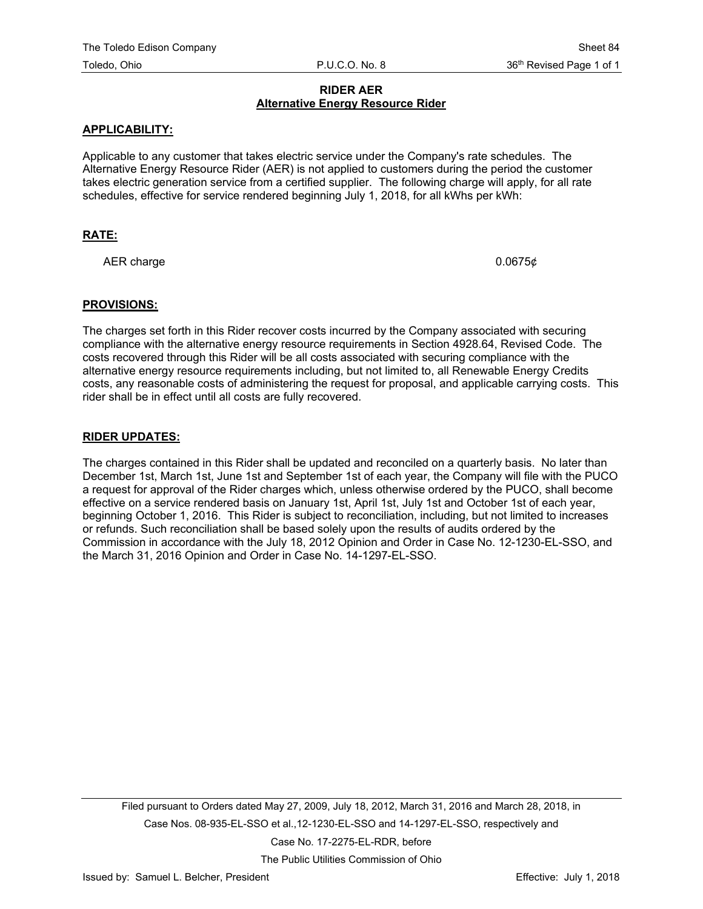# **RIDER AER Alternative Energy Resource Rider**

## **APPLICABILITY:**

Applicable to any customer that takes electric service under the Company's rate schedules. The Alternative Energy Resource Rider (AER) is not applied to customers during the period the customer takes electric generation service from a certified supplier. The following charge will apply, for all rate schedules, effective for service rendered beginning July 1, 2018, for all kWhs per kWh:

# **RATE:**

AER charge  $0.0675\phi$ 

#### **PROVISIONS:**

The charges set forth in this Rider recover costs incurred by the Company associated with securing compliance with the alternative energy resource requirements in Section 4928.64, Revised Code. The costs recovered through this Rider will be all costs associated with securing compliance with the alternative energy resource requirements including, but not limited to, all Renewable Energy Credits costs, any reasonable costs of administering the request for proposal, and applicable carrying costs. This rider shall be in effect until all costs are fully recovered.

### **RIDER UPDATES:**

The charges contained in this Rider shall be updated and reconciled on a quarterly basis. No later than December 1st, March 1st, June 1st and September 1st of each year, the Company will file with the PUCO a request for approval of the Rider charges which, unless otherwise ordered by the PUCO, shall become effective on a service rendered basis on January 1st, April 1st, July 1st and October 1st of each year, beginning October 1, 2016. This Rider is subject to reconciliation, including, but not limited to increases or refunds. Such reconciliation shall be based solely upon the results of audits ordered by the Commission in accordance with the July 18, 2012 Opinion and Order in Case No. 12-1230-EL-SSO, and the March 31, 2016 Opinion and Order in Case No. 14-1297-EL-SSO.

Filed pursuant to Orders dated May 27, 2009, July 18, 2012, March 31, 2016 and March 28, 2018, in Case Nos. 08-935-EL-SSO et al.,12-1230-EL-SSO and 14-1297-EL-SSO, respectively and Case No. 17-2275-EL-RDR, before The Public Utilities Commission of Ohio